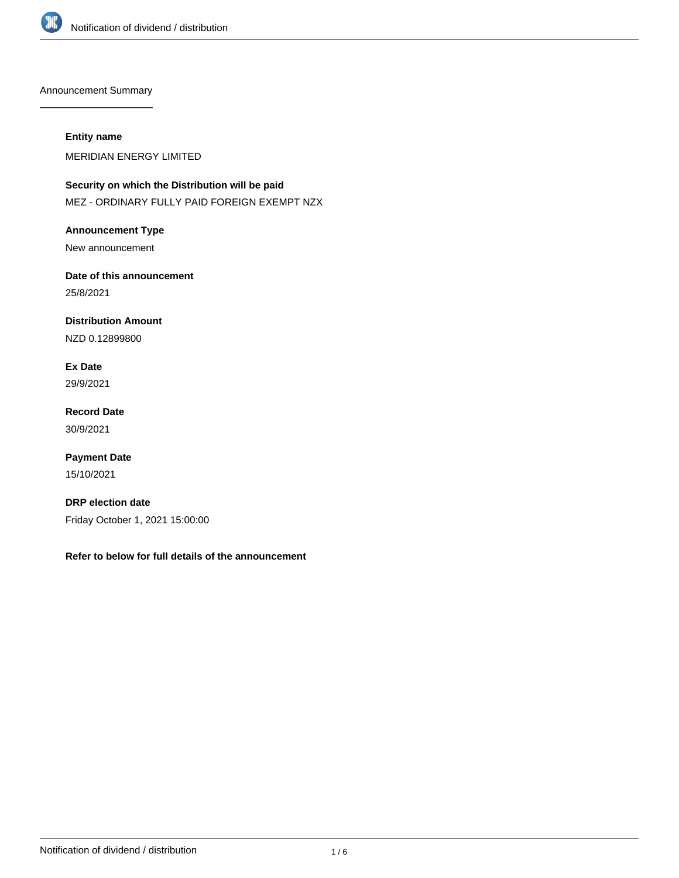

Announcement Summary

## **Entity name**

MERIDIAN ENERGY LIMITED

**Security on which the Distribution will be paid** MEZ - ORDINARY FULLY PAID FOREIGN EXEMPT NZX

**Announcement Type** New announcement

**Date of this announcement** 25/8/2021

**Distribution Amount**

NZD 0.12899800

**Ex Date** 29/9/2021

**Record Date** 30/9/2021

**Payment Date** 15/10/2021

**DRP election date** Friday October 1, 2021 15:00:00

**Refer to below for full details of the announcement**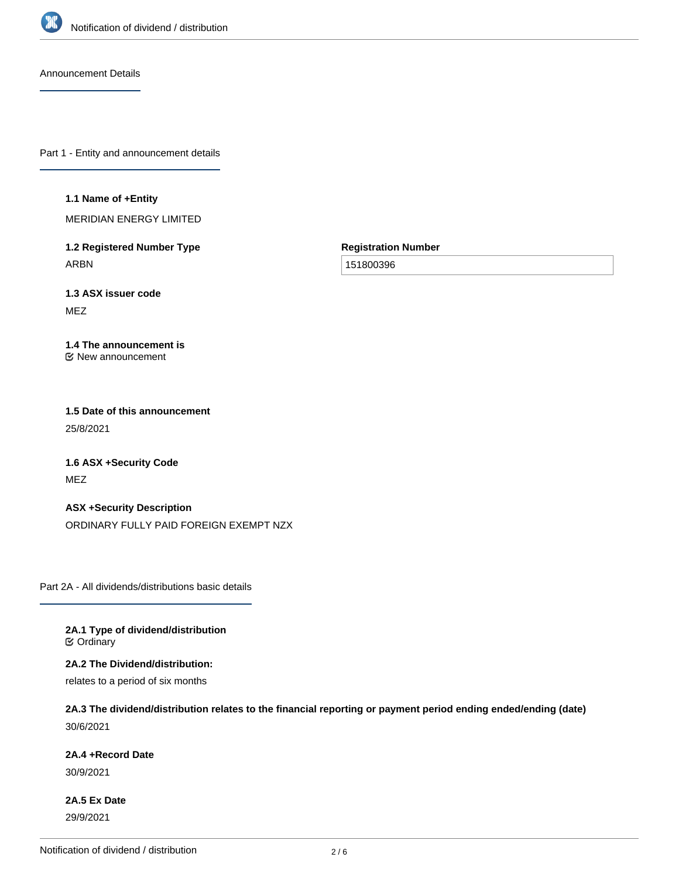

Announcement Details

Part 1 - Entity and announcement details

#### **1.1 Name of +Entity**

MERIDIAN ENERGY LIMITED

**1.2 Registered Number Type** ARBN

**Registration Number**

151800396

**1.3 ASX issuer code** MEZ

#### **1.4 The announcement is** New announcement

**1.5 Date of this announcement** 25/8/2021

**1.6 ASX +Security Code** MEZ

**ASX +Security Description** ORDINARY FULLY PAID FOREIGN EXEMPT NZX

Part 2A - All dividends/distributions basic details

**2A.1 Type of dividend/distribution C** Ordinary

**2A.2 The Dividend/distribution:**

relates to a period of six months

**2A.3 The dividend/distribution relates to the financial reporting or payment period ending ended/ending (date)** 30/6/2021

### **2A.4 +Record Date**

30/9/2021

**2A.5 Ex Date** 29/9/2021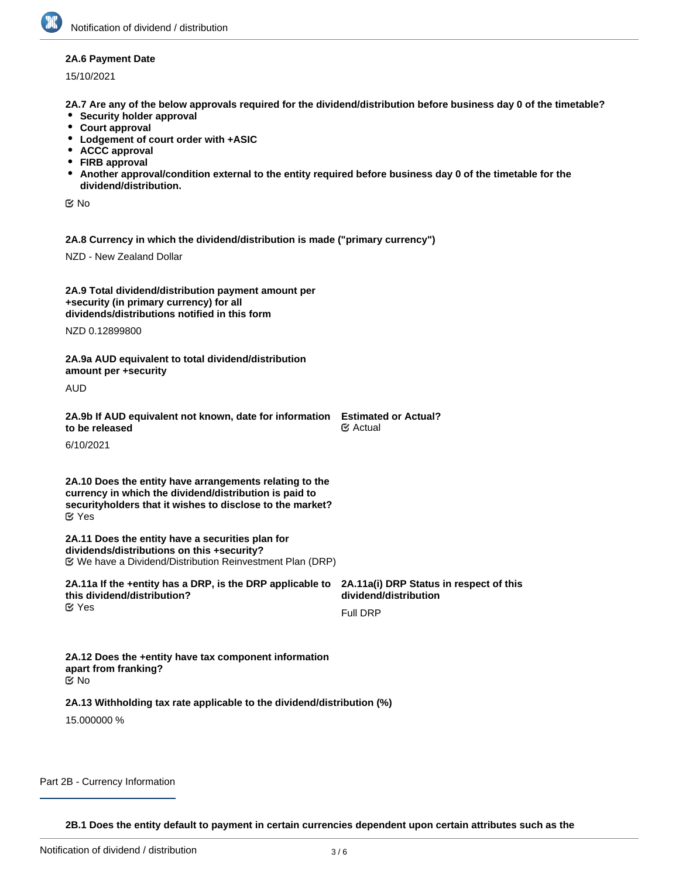### **2A.6 Payment Date**

15/10/2021

**2A.7 Are any of the below approvals required for the dividend/distribution before business day 0 of the timetable?**

- **•** Security holder approval
- **Court approval**
- **Lodgement of court order with +ASIC**
- **ACCC approval**
- **FIRB approval**
- **Another approval/condition external to the entity required before business day 0 of the timetable for the dividend/distribution.**

No

**2A.8 Currency in which the dividend/distribution is made ("primary currency")**

NZD - New Zealand Dollar

| 2A.9 Total dividend/distribution payment amount per<br>+security (in primary currency) for all<br>dividends/distributions notified in this form                                                 |                                                                  |
|-------------------------------------------------------------------------------------------------------------------------------------------------------------------------------------------------|------------------------------------------------------------------|
| NZD 0.12899800                                                                                                                                                                                  |                                                                  |
| 2A.9a AUD equivalent to total dividend/distribution<br>amount per +security                                                                                                                     |                                                                  |
| AUD                                                                                                                                                                                             |                                                                  |
| 2A.9b If AUD equivalent not known, date for information Estimated or Actual?<br>to be released                                                                                                  | $\mathfrak{C}$ Actual                                            |
| 6/10/2021                                                                                                                                                                                       |                                                                  |
| 2A.10 Does the entity have arrangements relating to the<br>currency in which the dividend/distribution is paid to<br>security holders that it wishes to disclose to the market?<br>$\alpha$ Yes |                                                                  |
| 2A.11 Does the entity have a securities plan for<br>dividends/distributions on this +security?                                                                                                  |                                                                  |
| 2A.11a If the +entity has a DRP, is the DRP applicable to<br>this dividend/distribution?                                                                                                        | 2A.11a(i) DRP Status in respect of this<br>dividend/distribution |
| $\mathfrak C$ Yes                                                                                                                                                                               | <b>Full DRP</b>                                                  |
| 2A.12 Does the +entity have tax component information<br>apart from franking?<br>় No                                                                                                           |                                                                  |
| 2A.13 Withholding tax rate applicable to the dividend/distribution (%)<br>15.000000 %                                                                                                           |                                                                  |

### Part 2B - Currency Information

**2B.1 Does the entity default to payment in certain currencies dependent upon certain attributes such as the**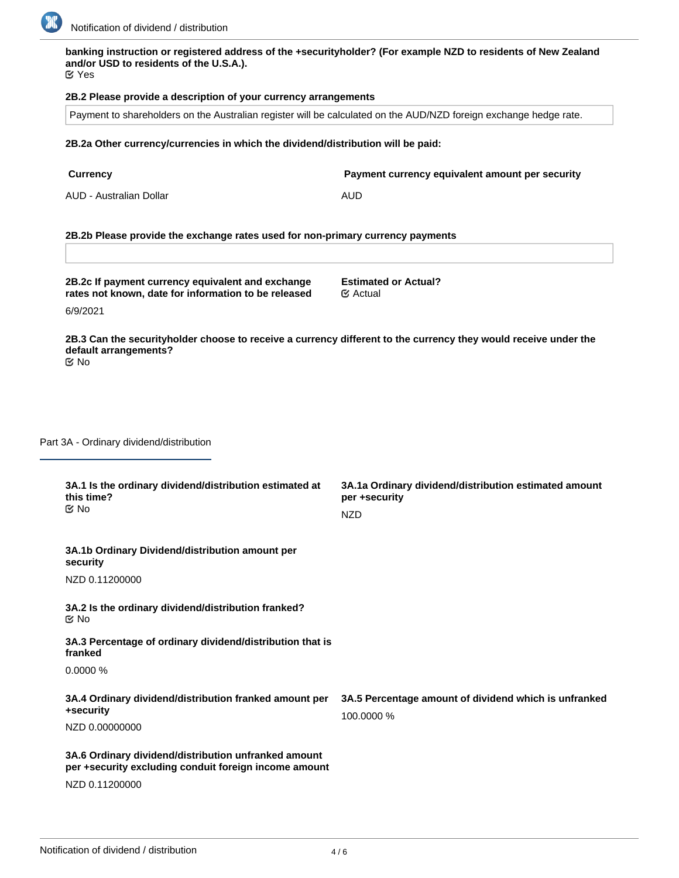

# **banking instruction or registered address of the +securityholder? (For example NZD to residents of New Zealand and/or USD to residents of the U.S.A.).**

Yes

# **2B.2 Please provide a description of your currency arrangements**

Payment to shareholders on the Australian register will be calculated on the AUD/NZD foreign exchange hedge rate.

# **2B.2a Other currency/currencies in which the dividend/distribution will be paid:**

| <b>Currency</b>         | Payment currency equivalent amount per security |
|-------------------------|-------------------------------------------------|
| AUD - Australian Dollar | AUD                                             |

# **2B.2b Please provide the exchange rates used for non-primary currency payments**

| 2B.2c If payment currency equivalent and exchange<br>rates not known, date for information to be released                                                | <b>Estimated or Actual?</b><br>$\mathfrak{C}$ Actual                                 |
|----------------------------------------------------------------------------------------------------------------------------------------------------------|--------------------------------------------------------------------------------------|
| 6/9/2021                                                                                                                                                 |                                                                                      |
| 2B.3 Can the securityholder choose to receive a currency different to the currency they would receive under the<br>default arrangements?<br>$\propto$ No |                                                                                      |
|                                                                                                                                                          |                                                                                      |
| Part 3A - Ordinary dividend/distribution                                                                                                                 |                                                                                      |
| 3A.1 Is the ordinary dividend/distribution estimated at<br>this time?<br>$\mathfrak{C}$ No                                                               | 3A.1a Ordinary dividend/distribution estimated amount<br>per +security<br><b>NZD</b> |
| 3A.1b Ordinary Dividend/distribution amount per<br>security                                                                                              |                                                                                      |
| NZD 0.11200000                                                                                                                                           |                                                                                      |
| 3A.2 Is the ordinary dividend/distribution franked?<br>$\mathfrak{C}$ No                                                                                 |                                                                                      |
| 3A.3 Percentage of ordinary dividend/distribution that is<br>franked                                                                                     |                                                                                      |
| 0.0000%                                                                                                                                                  |                                                                                      |
| 3A.4 Ordinary dividend/distribution franked amount per<br>+security                                                                                      | 3A.5 Percentage amount of dividend which is unfranked<br>100.0000 %                  |
| NZD 0.00000000                                                                                                                                           |                                                                                      |
| 3A.6 Ordinary dividend/distribution unfranked amount<br>per +security excluding conduit foreign income amount                                            |                                                                                      |
| NZD 0.11200000                                                                                                                                           |                                                                                      |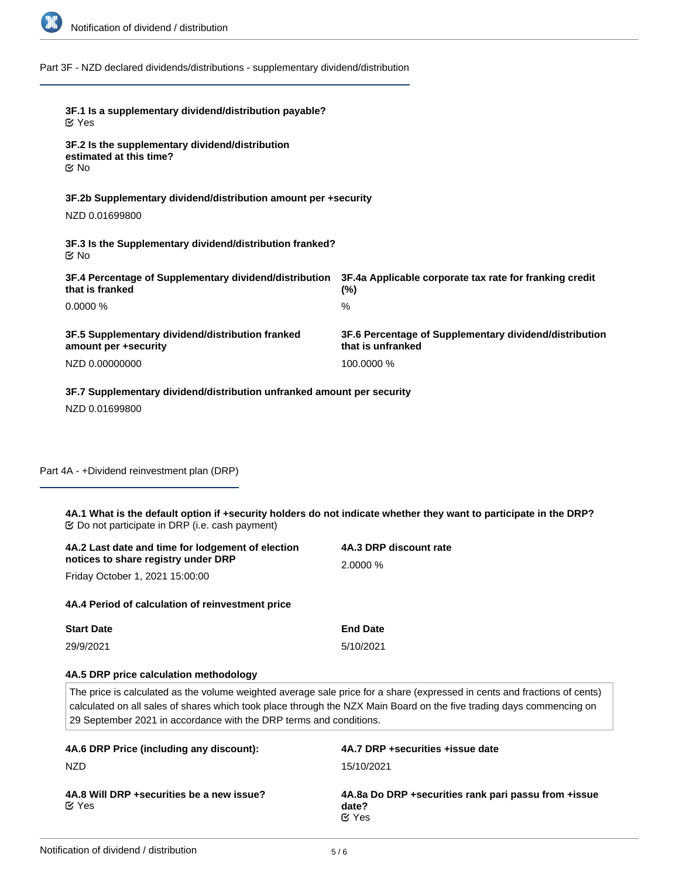

Part 3F - NZD declared dividends/distributions - supplementary dividend/distribution

| Part 4A - +Dividend reinvestment plan (DRP)<br>4A.1 What is the default option if +security holders do not indicate whether they want to participate in the DRP?<br>4A.2 Last date and time for lodgement of election<br>notices to share registry under DRP<br>Friday October 1, 2021 15:00:00<br>4A.4 Period of calculation of reinvestment price<br><b>Start Date</b><br>29/9/2021<br>4A.5 DRP price calculation methodology<br>calculated on all sales of shares which took place through the NZX Main Board on the five trading days commencing on<br>29 September 2021 in accordance with the DRP terms and conditions.<br>4A.6 DRP Price (including any discount):<br><b>NZD</b> | 4A.3 DRP discount rate<br>2.0000 %<br><b>End Date</b><br>5/10/2021<br>The price is calculated as the volume weighted average sale price for a share (expressed in cents and fractions of cents)<br>4A.7 DRP +securities +issue date<br>15/10/2021 |
|-----------------------------------------------------------------------------------------------------------------------------------------------------------------------------------------------------------------------------------------------------------------------------------------------------------------------------------------------------------------------------------------------------------------------------------------------------------------------------------------------------------------------------------------------------------------------------------------------------------------------------------------------------------------------------------------|---------------------------------------------------------------------------------------------------------------------------------------------------------------------------------------------------------------------------------------------------|
|                                                                                                                                                                                                                                                                                                                                                                                                                                                                                                                                                                                                                                                                                         |                                                                                                                                                                                                                                                   |
|                                                                                                                                                                                                                                                                                                                                                                                                                                                                                                                                                                                                                                                                                         |                                                                                                                                                                                                                                                   |
|                                                                                                                                                                                                                                                                                                                                                                                                                                                                                                                                                                                                                                                                                         |                                                                                                                                                                                                                                                   |
|                                                                                                                                                                                                                                                                                                                                                                                                                                                                                                                                                                                                                                                                                         |                                                                                                                                                                                                                                                   |
|                                                                                                                                                                                                                                                                                                                                                                                                                                                                                                                                                                                                                                                                                         |                                                                                                                                                                                                                                                   |
|                                                                                                                                                                                                                                                                                                                                                                                                                                                                                                                                                                                                                                                                                         |                                                                                                                                                                                                                                                   |
|                                                                                                                                                                                                                                                                                                                                                                                                                                                                                                                                                                                                                                                                                         |                                                                                                                                                                                                                                                   |
|                                                                                                                                                                                                                                                                                                                                                                                                                                                                                                                                                                                                                                                                                         |                                                                                                                                                                                                                                                   |
|                                                                                                                                                                                                                                                                                                                                                                                                                                                                                                                                                                                                                                                                                         |                                                                                                                                                                                                                                                   |
|                                                                                                                                                                                                                                                                                                                                                                                                                                                                                                                                                                                                                                                                                         |                                                                                                                                                                                                                                                   |
| NZD 0.01699800                                                                                                                                                                                                                                                                                                                                                                                                                                                                                                                                                                                                                                                                          |                                                                                                                                                                                                                                                   |
| 3F.7 Supplementary dividend/distribution unfranked amount per security                                                                                                                                                                                                                                                                                                                                                                                                                                                                                                                                                                                                                  |                                                                                                                                                                                                                                                   |
| amount per +security<br>NZD 0.00000000                                                                                                                                                                                                                                                                                                                                                                                                                                                                                                                                                                                                                                                  | 100.0000 %                                                                                                                                                                                                                                        |
| 3F.5 Supplementary dividend/distribution franked                                                                                                                                                                                                                                                                                                                                                                                                                                                                                                                                                                                                                                        | 3F.6 Percentage of Supplementary dividend/distribution<br>that is unfranked                                                                                                                                                                       |
| 0.0000%                                                                                                                                                                                                                                                                                                                                                                                                                                                                                                                                                                                                                                                                                 | $\%$                                                                                                                                                                                                                                              |
| 3F.4 Percentage of Supplementary dividend/distribution<br>that is franked                                                                                                                                                                                                                                                                                                                                                                                                                                                                                                                                                                                                               | 3F.4a Applicable corporate tax rate for franking credit<br>(%)                                                                                                                                                                                    |
| 3F.3 Is the Supplementary dividend/distribution franked?<br>$\mathfrak{C}$ No                                                                                                                                                                                                                                                                                                                                                                                                                                                                                                                                                                                                           |                                                                                                                                                                                                                                                   |
| 3F.2b Supplementary dividend/distribution amount per +security<br>NZD 0.01699800                                                                                                                                                                                                                                                                                                                                                                                                                                                                                                                                                                                                        |                                                                                                                                                                                                                                                   |
| 3F.2 Is the supplementary dividend/distribution<br>estimated at this time?<br>Mo No                                                                                                                                                                                                                                                                                                                                                                                                                                                                                                                                                                                                     |                                                                                                                                                                                                                                                   |
|                                                                                                                                                                                                                                                                                                                                                                                                                                                                                                                                                                                                                                                                                         |                                                                                                                                                                                                                                                   |
| 3F.1 Is a supplementary dividend/distribution payable?<br>$\alpha$ Yes                                                                                                                                                                                                                                                                                                                                                                                                                                                                                                                                                                                                                  |                                                                                                                                                                                                                                                   |